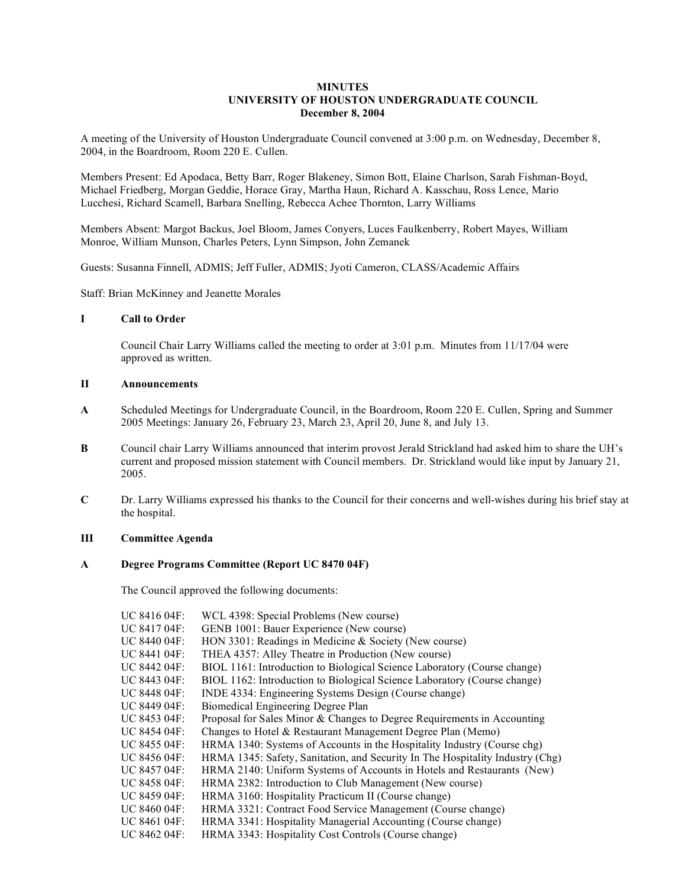# **MINUTES UNIVERSITY OF HOUSTON UNDERGRADUATE COUNCIL December 8, 2004**

A meeting of the University of Houston Undergraduate Council convened at 3:00 p.m. on Wednesday, December 8, 2004, in the Boardroom, Room 220 E. Cullen.

Members Present: Ed Apodaca, Betty Barr, Roger Blakeney, Simon Bott, Elaine Charlson, Sarah Fishman-Boyd, Michael Friedberg, Morgan Geddie, Horace Gray, Martha Haun, Richard A. Kasschau, Ross Lence, Mario Lucchesi, Richard Scamell, Barbara Snelling, Rebecca Achee Thornton, Larry Williams

Members Absent: Margot Backus, Joel Bloom, James Conyers, Luces Faulkenberry, Robert Mayes, William Monroe, William Munson, Charles Peters, Lynn Simpson, John Zemanek

Guests: Susanna Finnell, ADMIS; Jeff Fuller, ADMIS; Jyoti Cameron, CLASS/Academic Affairs

Staff: Brian McKinney and Jeanette Morales

## **I Call to Order**

Council Chair Larry Williams called the meeting to order at 3:01 p.m. Minutes from 11/17/04 were approved as written.

#### **II Announcements**

- **A** Scheduled Meetings for Undergraduate Council, in the Boardroom, Room 220 E. Cullen, Spring and Summer 2005 Meetings: January 26, February 23, March 23, April 20, June 8, and July 13.
- **B** Council chair Larry Williams announced that interim provost Jerald Strickland had asked him to share the UH's current and proposed mission statement with Council members. Dr. Strickland would like input by January 21, 2005.
- **C** Dr. Larry Williams expressed his thanks to the Council for their concerns and well-wishes during his brief stay at the hospital.

## **III Committee Agenda**

## **A Degree Programs Committee (Report UC 8470 04F)**

The Council approved the following documents:

| UC 8416 04F:             | WCL 4398: Special Problems (New course)                                       |
|--------------------------|-------------------------------------------------------------------------------|
| UC 8417 04F:             | GENB 1001: Bauer Experience (New course)                                      |
| UC 8440 04F:             | HON 3301: Readings in Medicine & Society (New course)                         |
| UC 8441 04F:             | THEA 4357: Alley Theatre in Production (New course)                           |
| $\overline{C}$ 8442 04F: | BIOL 1161: Introduction to Biological Science Laboratory (Course change)      |
| UC 8443 04F:             | BIOL 1162: Introduction to Biological Science Laboratory (Course change)      |
| UC 8448 04F:             | INDE 4334: Engineering Systems Design (Course change)                         |
| $\overline{C}$ 8449 04F: | Biomedical Engineering Degree Plan                                            |
| UC 8453 04F:             | Proposal for Sales Minor & Changes to Degree Requirements in Accounting       |
| UC 8454 04F:             | Changes to Hotel & Restaurant Management Degree Plan (Memo)                   |
| $\overline{C}$ 8455 04F: | HRMA 1340: Systems of Accounts in the Hospitality Industry (Course chg)       |
| $\overline{C}$ 8456 04F: | HRMA 1345: Safety, Sanitation, and Security In The Hospitality Industry (Chg) |
| UC 8457 04F:             | HRMA 2140: Uniform Systems of Accounts in Hotels and Restaurants (New)        |
| UC 8458 04F:             | HRMA 2382: Introduction to Club Management (New course)                       |
| UC 8459 04F:             | HRMA 3160: Hospitality Practicum II (Course change)                           |
| UC 8460 04F:             | HRMA 3321: Contract Food Service Management (Course change)                   |
| UC 8461 04F:             | HRMA 3341: Hospitality Managerial Accounting (Course change)                  |
| UC 8462 04F:             | HRMA 3343: Hospitality Cost Controls (Course change)                          |